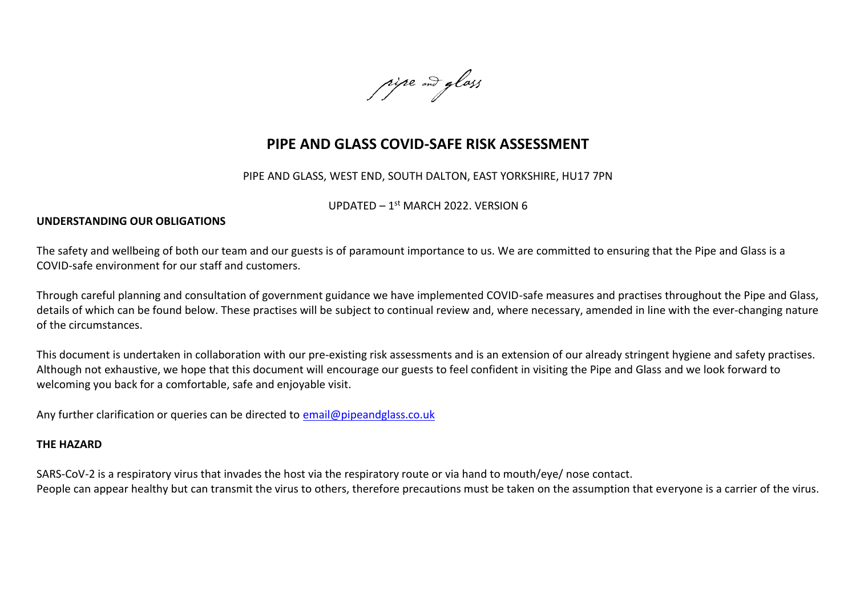rise and glass

# **PIPE AND GLASS COVID-SAFE RISK ASSESSMENT**

PIPE AND GLASS, WEST END, SOUTH DALTON, EAST YORKSHIRE, HU17 7PN

UPDATED - 1<sup>st</sup> MARCH 2022. VERSION 6

### **UNDERSTANDING OUR OBLIGATIONS**

The safety and wellbeing of both our team and our guests is of paramount importance to us. We are committed to ensuring that the Pipe and Glass is a COVID-safe environment for our staff and customers.

Through careful planning and consultation of government guidance we have implemented COVID-safe measures and practises throughout the Pipe and Glass, details of which can be found below. These practises will be subject to continual review and, where necessary, amended in line with the ever-changing nature of the circumstances.

This document is undertaken in collaboration with our pre-existing risk assessments and is an extension of our already stringent hygiene and safety practises. Although not exhaustive, we hope that this document will encourage our guests to feel confident in visiting the Pipe and Glass and we look forward to welcoming you back for a comfortable, safe and enjoyable visit.

Any further clarification or queries can be directed to [email@pipeandglass.co.uk](mailto:email@pipeandglass.co.uk)

#### **THE HAZARD**

SARS-CoV-2 is a respiratory virus that invades the host via the respiratory route or via hand to mouth/eye/ nose contact. People can appear healthy but can transmit the virus to others, therefore precautions must be taken on the assumption that everyone is a carrier of the virus.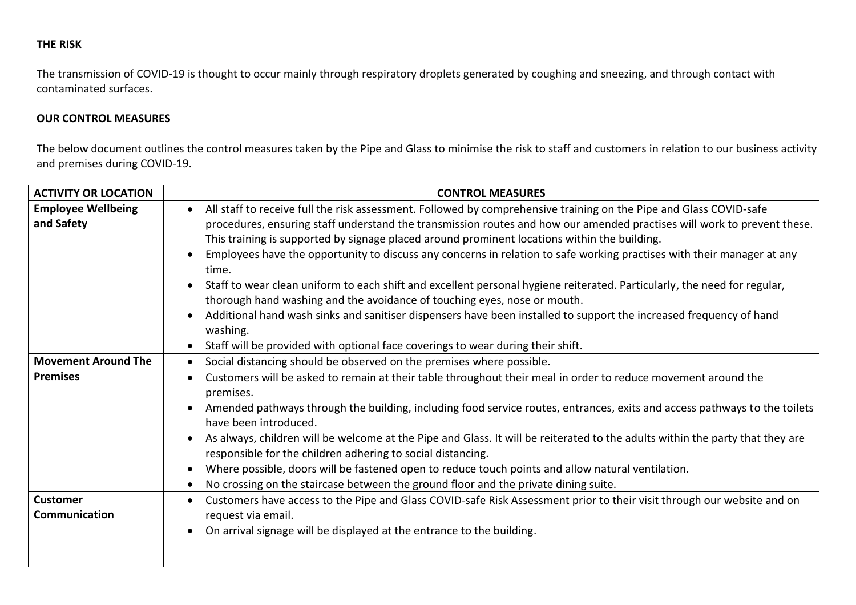## **THE RISK**

The transmission of COVID-19 is thought to occur mainly through respiratory droplets generated by coughing and sneezing, and through contact with contaminated surfaces.

## **OUR CONTROL MEASURES**

The below document outlines the control measures taken by the Pipe and Glass to minimise the risk to staff and customers in relation to our business activity and premises during COVID-19.

| <b>ACTIVITY OR LOCATION</b>                   | <b>CONTROL MEASURES</b>                                                                                                                                                                                                                                                                                                                                                                                                                                                                                                                                                                                                                                                                                                                                                                                                                                           |
|-----------------------------------------------|-------------------------------------------------------------------------------------------------------------------------------------------------------------------------------------------------------------------------------------------------------------------------------------------------------------------------------------------------------------------------------------------------------------------------------------------------------------------------------------------------------------------------------------------------------------------------------------------------------------------------------------------------------------------------------------------------------------------------------------------------------------------------------------------------------------------------------------------------------------------|
| <b>Employee Wellbeing</b><br>and Safety       | All staff to receive full the risk assessment. Followed by comprehensive training on the Pipe and Glass COVID-safe<br>$\bullet$<br>procedures, ensuring staff understand the transmission routes and how our amended practises will work to prevent these.<br>This training is supported by signage placed around prominent locations within the building.<br>Employees have the opportunity to discuss any concerns in relation to safe working practises with their manager at any<br>time.<br>Staff to wear clean uniform to each shift and excellent personal hygiene reiterated. Particularly, the need for regular,<br>$\bullet$<br>thorough hand washing and the avoidance of touching eyes, nose or mouth.<br>Additional hand wash sinks and sanitiser dispensers have been installed to support the increased frequency of hand<br>$\bullet$<br>washing. |
|                                               | Staff will be provided with optional face coverings to wear during their shift.<br>$\bullet$                                                                                                                                                                                                                                                                                                                                                                                                                                                                                                                                                                                                                                                                                                                                                                      |
| <b>Movement Around The</b><br><b>Premises</b> | Social distancing should be observed on the premises where possible.<br>$\bullet$<br>Customers will be asked to remain at their table throughout their meal in order to reduce movement around the<br>premises.<br>Amended pathways through the building, including food service routes, entrances, exits and access pathways to the toilets<br>$\bullet$<br>have been introduced.<br>As always, children will be welcome at the Pipe and Glass. It will be reiterated to the adults within the party that they are<br>$\bullet$<br>responsible for the children adhering to social distancing.<br>Where possible, doors will be fastened open to reduce touch points and allow natural ventilation.<br>$\bullet$<br>No crossing on the staircase between the ground floor and the private dining suite.<br>$\bullet$                                             |
| <b>Customer</b><br>Communication              | Customers have access to the Pipe and Glass COVID-safe Risk Assessment prior to their visit through our website and on<br>$\bullet$<br>request via email.<br>On arrival signage will be displayed at the entrance to the building.<br>$\bullet$                                                                                                                                                                                                                                                                                                                                                                                                                                                                                                                                                                                                                   |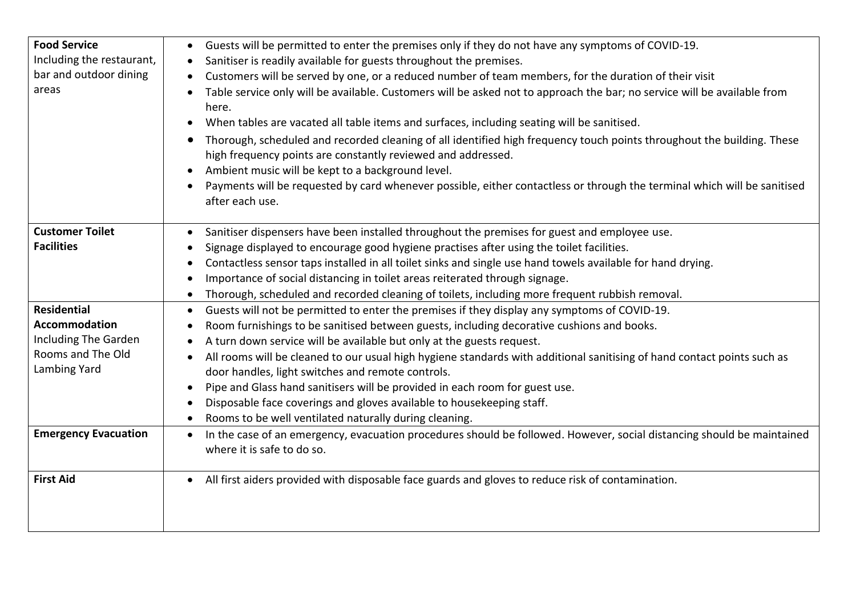| <b>Food Service</b><br>Including the restaurant,<br>bar and outdoor dining<br>areas | Guests will be permitted to enter the premises only if they do not have any symptoms of COVID-19.<br>$\bullet$<br>Sanitiser is readily available for guests throughout the premises.<br>$\bullet$<br>Customers will be served by one, or a reduced number of team members, for the duration of their visit<br>Table service only will be available. Customers will be asked not to approach the bar; no service will be available from<br>here.<br>When tables are vacated all table items and surfaces, including seating will be sanitised.<br>Thorough, scheduled and recorded cleaning of all identified high frequency touch points throughout the building. These<br>$\bullet$ |
|-------------------------------------------------------------------------------------|--------------------------------------------------------------------------------------------------------------------------------------------------------------------------------------------------------------------------------------------------------------------------------------------------------------------------------------------------------------------------------------------------------------------------------------------------------------------------------------------------------------------------------------------------------------------------------------------------------------------------------------------------------------------------------------|
|                                                                                     | high frequency points are constantly reviewed and addressed.                                                                                                                                                                                                                                                                                                                                                                                                                                                                                                                                                                                                                         |
|                                                                                     | Ambient music will be kept to a background level.<br>$\bullet$<br>Payments will be requested by card whenever possible, either contactless or through the terminal which will be sanitised<br>after each use.                                                                                                                                                                                                                                                                                                                                                                                                                                                                        |
| <b>Customer Toilet</b>                                                              | Sanitiser dispensers have been installed throughout the premises for guest and employee use.<br>$\bullet$                                                                                                                                                                                                                                                                                                                                                                                                                                                                                                                                                                            |
| <b>Facilities</b>                                                                   | Signage displayed to encourage good hygiene practises after using the toilet facilities.<br>$\bullet$                                                                                                                                                                                                                                                                                                                                                                                                                                                                                                                                                                                |
|                                                                                     | Contactless sensor taps installed in all toilet sinks and single use hand towels available for hand drying.<br>$\bullet$                                                                                                                                                                                                                                                                                                                                                                                                                                                                                                                                                             |
|                                                                                     | Importance of social distancing in toilet areas reiterated through signage.<br>$\bullet$                                                                                                                                                                                                                                                                                                                                                                                                                                                                                                                                                                                             |
|                                                                                     | Thorough, scheduled and recorded cleaning of toilets, including more frequent rubbish removal.<br>$\bullet$                                                                                                                                                                                                                                                                                                                                                                                                                                                                                                                                                                          |
| <b>Residential</b>                                                                  | Guests will not be permitted to enter the premises if they display any symptoms of COVID-19.<br>$\bullet$                                                                                                                                                                                                                                                                                                                                                                                                                                                                                                                                                                            |
| <b>Accommodation</b>                                                                | Room furnishings to be sanitised between guests, including decorative cushions and books.<br>$\bullet$                                                                                                                                                                                                                                                                                                                                                                                                                                                                                                                                                                               |
| <b>Including The Garden</b>                                                         | A turn down service will be available but only at the guests request.                                                                                                                                                                                                                                                                                                                                                                                                                                                                                                                                                                                                                |
| Rooms and The Old<br>Lambing Yard                                                   | All rooms will be cleaned to our usual high hygiene standards with additional sanitising of hand contact points such as<br>$\bullet$<br>door handles, light switches and remote controls.                                                                                                                                                                                                                                                                                                                                                                                                                                                                                            |
|                                                                                     | Pipe and Glass hand sanitisers will be provided in each room for guest use.<br>$\bullet$                                                                                                                                                                                                                                                                                                                                                                                                                                                                                                                                                                                             |
|                                                                                     | Disposable face coverings and gloves available to housekeeping staff.<br>$\bullet$                                                                                                                                                                                                                                                                                                                                                                                                                                                                                                                                                                                                   |
|                                                                                     | Rooms to be well ventilated naturally during cleaning.                                                                                                                                                                                                                                                                                                                                                                                                                                                                                                                                                                                                                               |
| <b>Emergency Evacuation</b>                                                         | In the case of an emergency, evacuation procedures should be followed. However, social distancing should be maintained<br>$\bullet$<br>where it is safe to do so.                                                                                                                                                                                                                                                                                                                                                                                                                                                                                                                    |
| <b>First Aid</b>                                                                    | All first aiders provided with disposable face guards and gloves to reduce risk of contamination.<br>$\bullet$                                                                                                                                                                                                                                                                                                                                                                                                                                                                                                                                                                       |